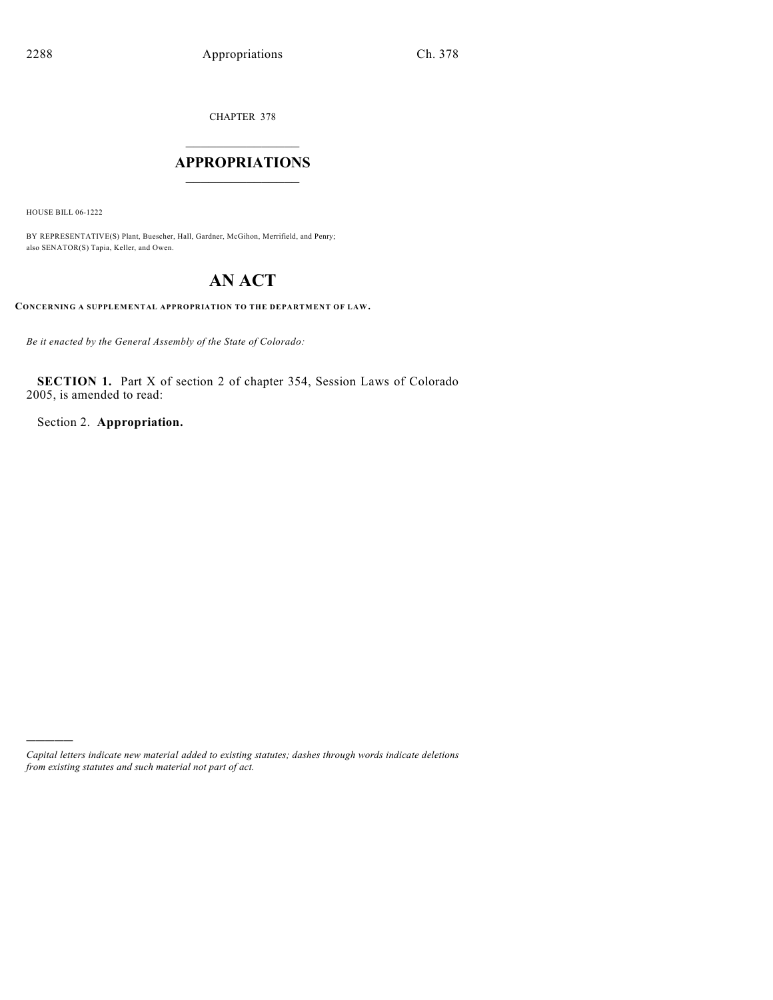CHAPTER 378

## $\overline{\phantom{a}}$  . The set of the set of the set of the set of the set of the set of the set of the set of the set of the set of the set of the set of the set of the set of the set of the set of the set of the set of the set o **APPROPRIATIONS**  $\_$   $\_$   $\_$   $\_$   $\_$   $\_$   $\_$   $\_$

HOUSE BILL 06-1222

)))))

BY REPRESENTATIVE(S) Plant, Buescher, Hall, Gardner, McGihon, Merrifield, and Penry; also SENATOR(S) Tapia, Keller, and Owen.

# **AN ACT**

**CONCERNING A SUPPLEMENTAL APPROPRIATION TO THE DEPARTMENT OF LAW.**

*Be it enacted by the General Assembly of the State of Colorado:*

**SECTION 1.** Part X of section 2 of chapter 354, Session Laws of Colorado 2005, is amended to read:

Section 2. **Appropriation.**

*Capital letters indicate new material added to existing statutes; dashes through words indicate deletions from existing statutes and such material not part of act.*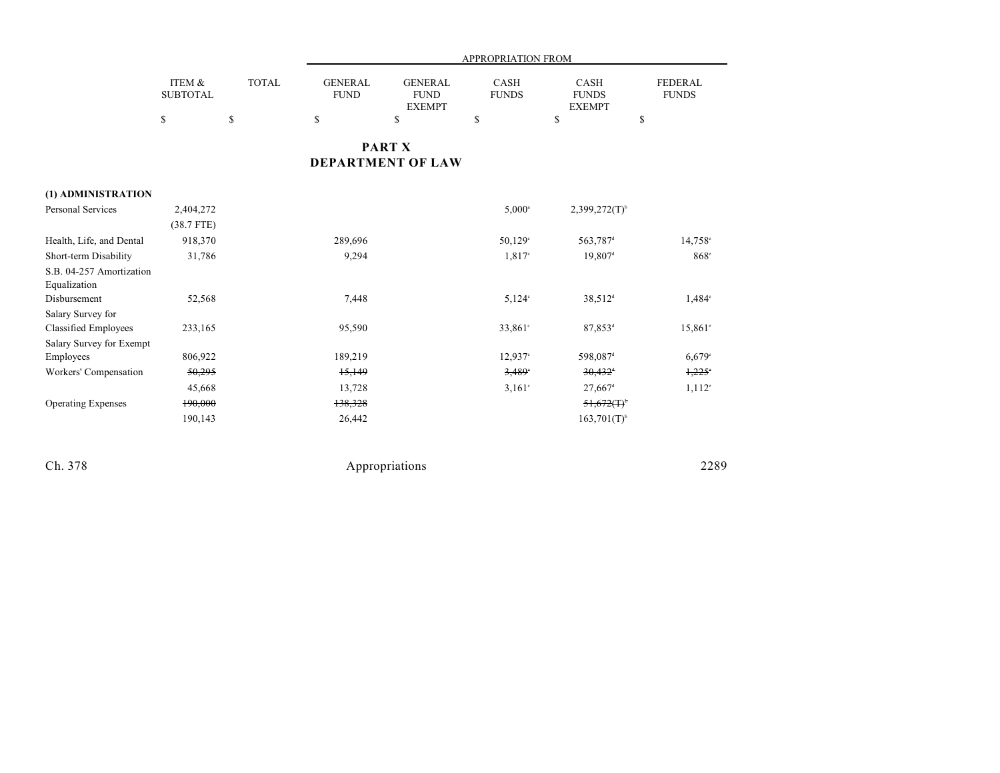|                                                  |                           |              | APPROPRIATION FROM            |                                                |                             |                                       |                                |  |
|--------------------------------------------------|---------------------------|--------------|-------------------------------|------------------------------------------------|-----------------------------|---------------------------------------|--------------------------------|--|
|                                                  | ITEM &<br><b>SUBTOTAL</b> | <b>TOTAL</b> | <b>GENERAL</b><br><b>FUND</b> | <b>GENERAL</b><br><b>FUND</b><br><b>EXEMPT</b> | <b>CASH</b><br><b>FUNDS</b> | CASH<br><b>FUNDS</b><br><b>EXEMPT</b> | <b>FEDERAL</b><br><b>FUNDS</b> |  |
|                                                  | \$                        | \$           | \$                            | \$                                             | \$                          | \$                                    | \$                             |  |
|                                                  |                           |              |                               | <b>PART X</b><br><b>DEPARTMENT OF LAW</b>      |                             |                                       |                                |  |
| (1) ADMINISTRATION                               |                           |              |                               |                                                |                             |                                       |                                |  |
| Personal Services                                | 2,404,272                 |              |                               |                                                | $5,000^{\circ}$             | $2,399,272(T)^{6}$                    |                                |  |
|                                                  | $(38.7$ FTE)              |              |                               |                                                |                             |                                       |                                |  |
| Health, Life, and Dental                         | 918,370                   |              | 289,696                       |                                                | 50,129 <sup>c</sup>         | 563,787 <sup>d</sup>                  | 14,758 <sup>e</sup>            |  |
| Short-term Disability                            | 31,786                    |              | 9,294                         |                                                | $1,817^{\circ}$             | 19,807 <sup>d</sup>                   | $868^\circ$                    |  |
| S.B. 04-257 Amortization<br>Equalization         |                           |              |                               |                                                |                             |                                       |                                |  |
| Disbursement                                     | 52,568                    |              | 7,448                         |                                                | $5,124^{\circ}$             | 38,512 <sup>d</sup>                   | $1,484^\circ$                  |  |
| Salary Survey for<br><b>Classified Employees</b> | 233,165                   |              | 95,590                        |                                                | $33,861$ °                  | 87,853 <sup>d</sup>                   | $15,861^{\circ}$               |  |
| Salary Survey for Exempt                         |                           |              |                               |                                                |                             |                                       |                                |  |
| Employees                                        | 806,922                   |              | 189,219                       |                                                | $12,937$ °                  | 598,087 <sup>d</sup>                  | 6,679°                         |  |
| Workers' Compensation                            | 50,295                    |              | 15,149                        |                                                | 3,489                       | $30,432$ <sup>+</sup>                 | $1,225^{\circ}$                |  |
|                                                  | 45,668                    |              | 13,728                        |                                                | $3,161^{\circ}$             | $27,667$ <sup>d</sup>                 | $1,112^{\circ}$                |  |
| <b>Operating Expenses</b>                        | 190,000                   |              | 138,328                       |                                                |                             | $51,672($ T) <sup>b</sup>             |                                |  |
|                                                  | 190,143                   |              | 26,442                        |                                                |                             | $163,701(T)$ <sup>b</sup>             |                                |  |
|                                                  |                           |              |                               |                                                |                             |                                       |                                |  |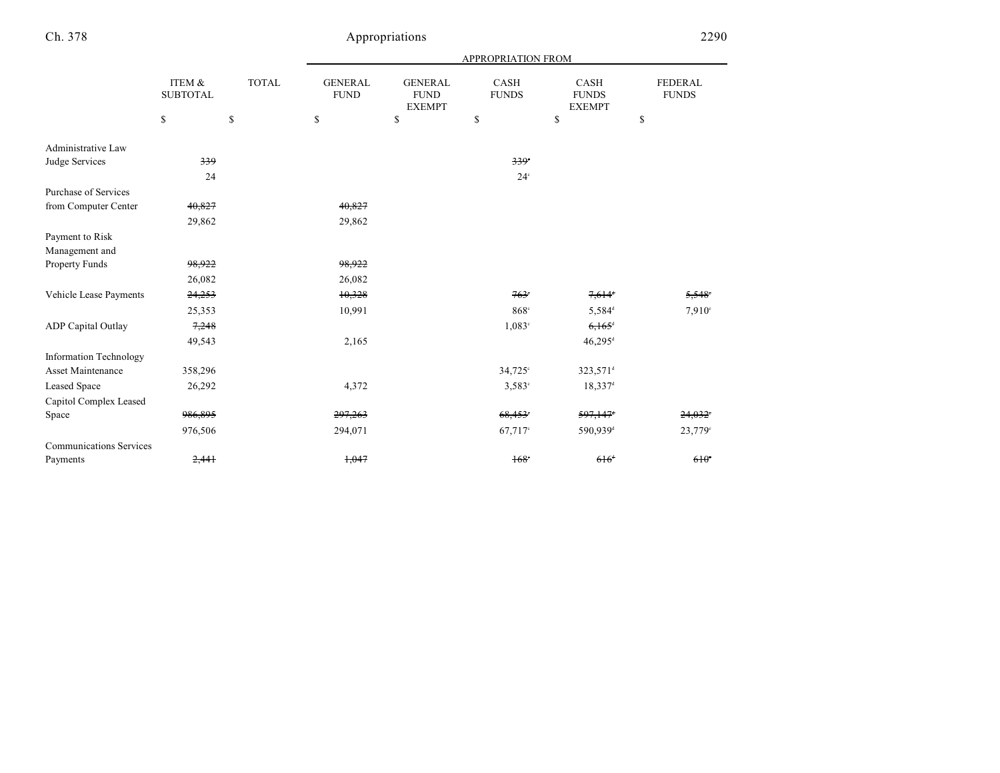|                                |                           |              | APPROPRIATION FROM            |                                                |                      |                                              |                         |  |  |
|--------------------------------|---------------------------|--------------|-------------------------------|------------------------------------------------|----------------------|----------------------------------------------|-------------------------|--|--|
|                                | ITEM &<br><b>SUBTOTAL</b> | <b>TOTAL</b> | <b>GENERAL</b><br><b>FUND</b> | <b>GENERAL</b><br><b>FUND</b><br><b>EXEMPT</b> | CASH<br><b>FUNDS</b> | <b>CASH</b><br><b>FUNDS</b><br><b>EXEMPT</b> | FEDERAL<br><b>FUNDS</b> |  |  |
|                                | \$                        | \$           | \$                            | \$                                             | \$                   | \$                                           | \$                      |  |  |
| Administrative Law             |                           |              |                               |                                                |                      |                                              |                         |  |  |
| Judge Services                 | 339                       |              |                               |                                                | 339                  |                                              |                         |  |  |
|                                | 24                        |              |                               |                                                | $24^\circ$           |                                              |                         |  |  |
| Purchase of Services           |                           |              |                               |                                                |                      |                                              |                         |  |  |
| from Computer Center           | 40,827                    |              | 40,827                        |                                                |                      |                                              |                         |  |  |
|                                | 29,862                    |              | 29,862                        |                                                |                      |                                              |                         |  |  |
| Payment to Risk                |                           |              |                               |                                                |                      |                                              |                         |  |  |
| Management and                 |                           |              |                               |                                                |                      |                                              |                         |  |  |
| Property Funds                 | 98,922                    |              | 98,922                        |                                                |                      |                                              |                         |  |  |
|                                | 26,082                    |              | 26,082                        |                                                |                      |                                              |                         |  |  |
| Vehicle Lease Payments         | 24,253                    |              | 10,328                        |                                                | $763^\circ$          | $7,614$ <sup>d</sup>                         | $5,548^\circ$           |  |  |
|                                | 25,353                    |              | 10,991                        |                                                | 868 <sup>c</sup>     | 5,584 <sup>d</sup>                           | 7,910°                  |  |  |
| <b>ADP</b> Capital Outlay      | 7,248                     |              |                               |                                                | $1,083^\circ$        | $6,165$ <sup>d</sup>                         |                         |  |  |
|                                | 49,543                    |              | 2,165                         |                                                |                      | $46,295$ <sup>d</sup>                        |                         |  |  |
| <b>Information Technology</b>  |                           |              |                               |                                                |                      |                                              |                         |  |  |
| Asset Maintenance              | 358,296                   |              |                               |                                                | 34,725°              | 323,571 <sup>d</sup>                         |                         |  |  |
| <b>Leased Space</b>            | 26,292                    |              | 4,372                         |                                                | $3,583^{\circ}$      | $18,337$ <sup>d</sup>                        |                         |  |  |
| Capitol Complex Leased         |                           |              |                               |                                                |                      |                                              |                         |  |  |
| Space                          | 986,895                   |              | 297,263                       |                                                | 68,453               | 597,147                                      | 24.032                  |  |  |
|                                | 976,506                   |              | 294,071                       |                                                | 67,717 <sup>c</sup>  | 590,939 <sup>d</sup>                         | 23,779 <sup>c</sup>     |  |  |
| <b>Communications Services</b> |                           |              |                               |                                                |                      |                                              |                         |  |  |
| Payments                       | 2,441                     |              | 1,047                         |                                                | $168^\circ$          | 616 <sup>d</sup>                             | $610^\circ$             |  |  |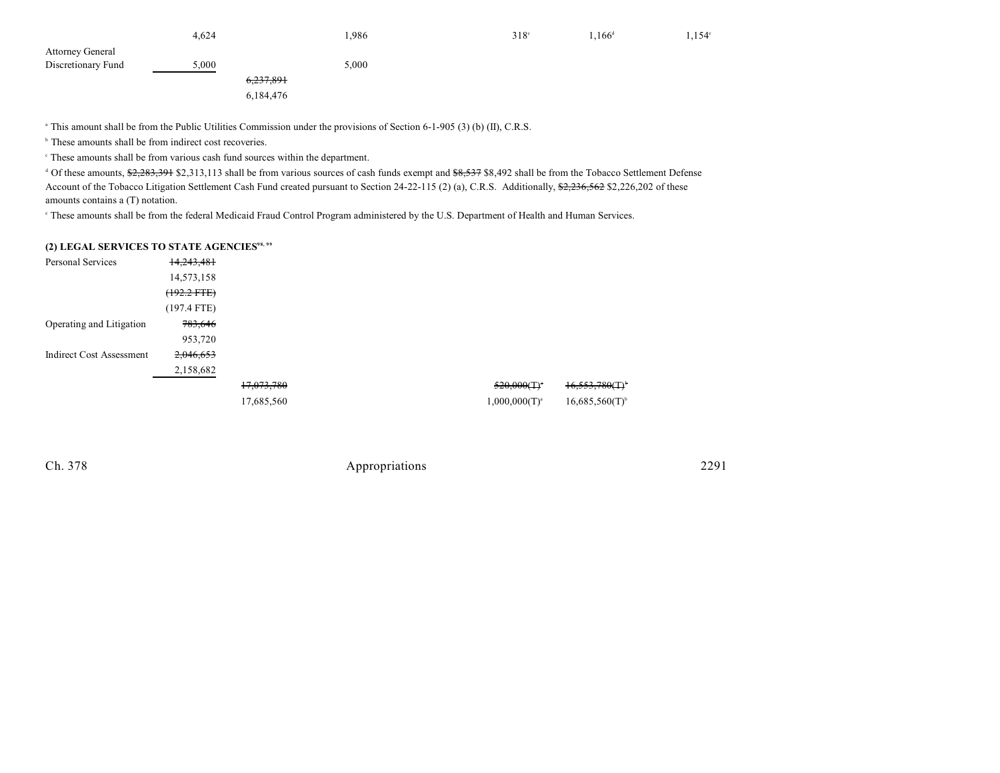|                         | 4.624     | 1,986 | $318^\circ$ | $1.166^{d}$ | $1,154^{\circ}$ |
|-------------------------|-----------|-------|-------------|-------------|-----------------|
| <b>Attorney General</b> |           |       |             |             |                 |
| Discretionary Fund      | 5,000     | 5,000 |             |             |                 |
|                         | 6,237,891 |       |             |             |                 |
|                         | 6,184,476 |       |             |             |                 |

<sup>a</sup> This amount shall be from the Public Utilities Commission under the provisions of Section 6-1-905 (3) (b) (II), C.R.S.

 $\,^{\circ}$  These amounts shall be from indirect cost recoveries.

 $\degree$  These amounts shall be from various cash fund sources within the department.

<sup>d</sup> Of these amounts, \$2,283,391 \$2,313,113 shall be from various sources of cash funds exempt and \$8,537 \$8,492 shall be from the Tobacco Settlement Defense Account of the Tobacco Litigation Settlement Cash Fund created pursuant to Section 24-22-115 (2) (a), C.R.S. Additionally, \$2,236,562 \$2,226,202 of these amounts contains a (T) notation.

 $\degree$  These amounts shall be from the federal Medicaid Fraud Control Program administered by the U.S. Department of Health and Human Services.

#### **(2) LEGAL SERVICES TO STATE AGENCIES98, 99**

| Personal Services               | 14,243,481       |            |                    |                               |
|---------------------------------|------------------|------------|--------------------|-------------------------------|
|                                 | 14,573,158       |            |                    |                               |
|                                 | $(192.2$ FTE $)$ |            |                    |                               |
|                                 | $(197.4$ FTE)    |            |                    |                               |
| Operating and Litigation        | 783,646          |            |                    |                               |
|                                 | 953,720          |            |                    |                               |
| <b>Indirect Cost Assessment</b> | 2,046,653        |            |                    |                               |
|                                 | 2,158,682        |            |                    |                               |
|                                 |                  | 17,073,780 | $520,000(T)^*$     | $16,553,780$ (T) <sup>*</sup> |
|                                 |                  | 17,685,560 | $1,000,000(T)^{a}$ | $16,685,560(T)^{6}$           |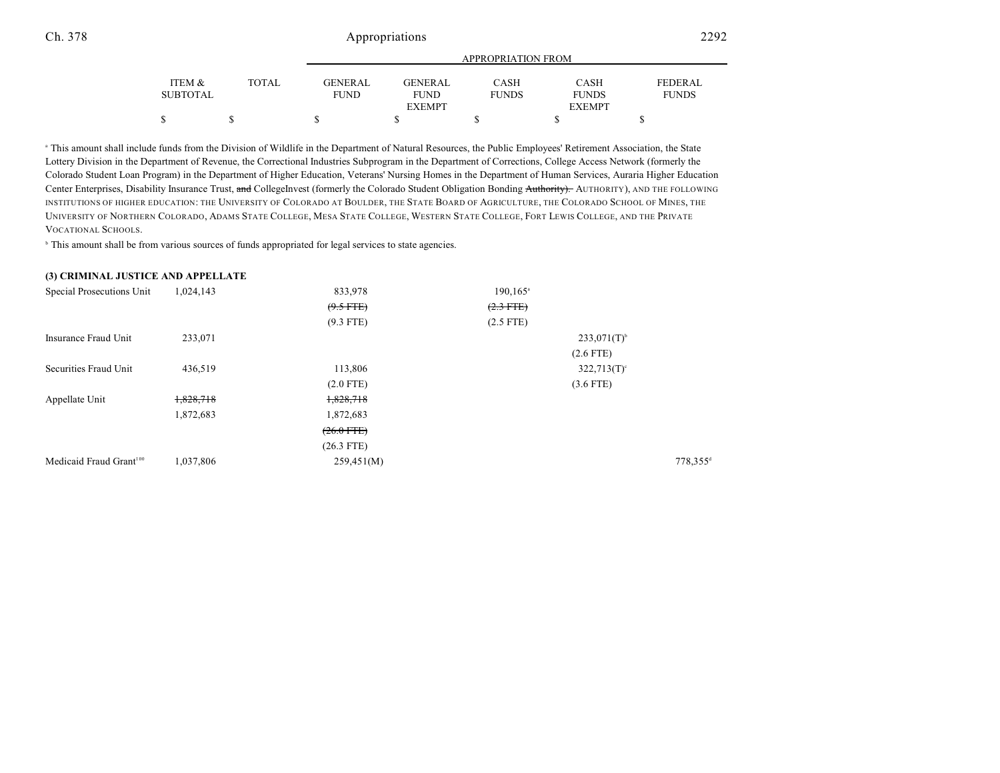|                 |              |             | APPROPRIATION FROM |              |               |                |  |  |
|-----------------|--------------|-------------|--------------------|--------------|---------------|----------------|--|--|
|                 |              |             |                    |              |               |                |  |  |
| ITEM &          | <b>TOTAL</b> | GENERAL     | GENERAL            | <b>CASH</b>  | <b>CASH</b>   | <b>FEDERAL</b> |  |  |
| <b>SUBTOTAL</b> |              | <b>FUND</b> | <b>FUND</b>        | <b>FUNDS</b> | <b>FUNDS</b>  | <b>FUNDS</b>   |  |  |
|                 |              |             | <b>EXEMPT</b>      |              | <b>EXEMPT</b> |                |  |  |
| \$              |              |             |                    |              |               |                |  |  |

<sup>a</sup> This amount shall include funds from the Division of Wildlife in the Department of Natural Resources, the Public Employees' Retirement Association, the State Lottery Division in the Department of Revenue, the Correctional Industries Subprogram in the Department of Corrections, College Access Network (formerly the Colorado Student Loan Program) in the Department of Higher Education, Veterans' Nursing Homes in the Department of Human Services, Auraria Higher Education Center Enterprises, Disability Insurance Trust, and CollegeInvest (formerly the Colorado Student Obligation Bonding Authority). AUTHORITY), AND THE FOLLOWING INSTITUTIONS OF HIGHER EDUCATION: THE UNIVERSITY OF COLORADO AT BOULDER, THE STATE BOARD OF AGRICULTURE, THE COLORADO SCHOOL OF MINES, THE UNIVERSITY OF NORTHERN COLORADO, ADAMS STATE COLLEGE, MESA STATE COLLEGE, WESTERN STATE COLLEGE, FORT LEWIS COLLEGE, AND THE PRIVATE VOCATIONAL SCHOOLS.

<sup>b</sup> This amount shall be from various sources of funds appropriated for legal services to state agencies.

#### **(3) CRIMINAL JUSTICE AND APPELLATE**

| Special Prosecutions Unit           | 1,024,143 | 833,978         | $190, 165$ <sup>a</sup> |                           |                      |
|-------------------------------------|-----------|-----------------|-------------------------|---------------------------|----------------------|
|                                     |           | $(9.5$ FTE)     | $(2.3$ FTE)             |                           |                      |
|                                     |           | $(9.3$ FTE)     | $(2.5$ FTE)             |                           |                      |
| Insurance Fraud Unit                | 233,071   |                 |                         | $233,071(T)^{6}$          |                      |
|                                     |           |                 |                         | $(2.6$ FTE)               |                      |
| Securities Fraud Unit               | 436,519   | 113,806         |                         | $322,713(T)$ <sup>c</sup> |                      |
|                                     |           | $(2.0$ FTE)     |                         | $(3.6$ FTE)               |                      |
| Appellate Unit                      | 1,828,718 | 1,828,718       |                         |                           |                      |
|                                     | 1,872,683 | 1,872,683       |                         |                           |                      |
|                                     |           | $(26.0$ FTE $)$ |                         |                           |                      |
|                                     |           | $(26.3$ FTE)    |                         |                           |                      |
| Medicaid Fraud Grant <sup>100</sup> | 1,037,806 | 259,451(M)      |                         |                           | 778,355 <sup>d</sup> |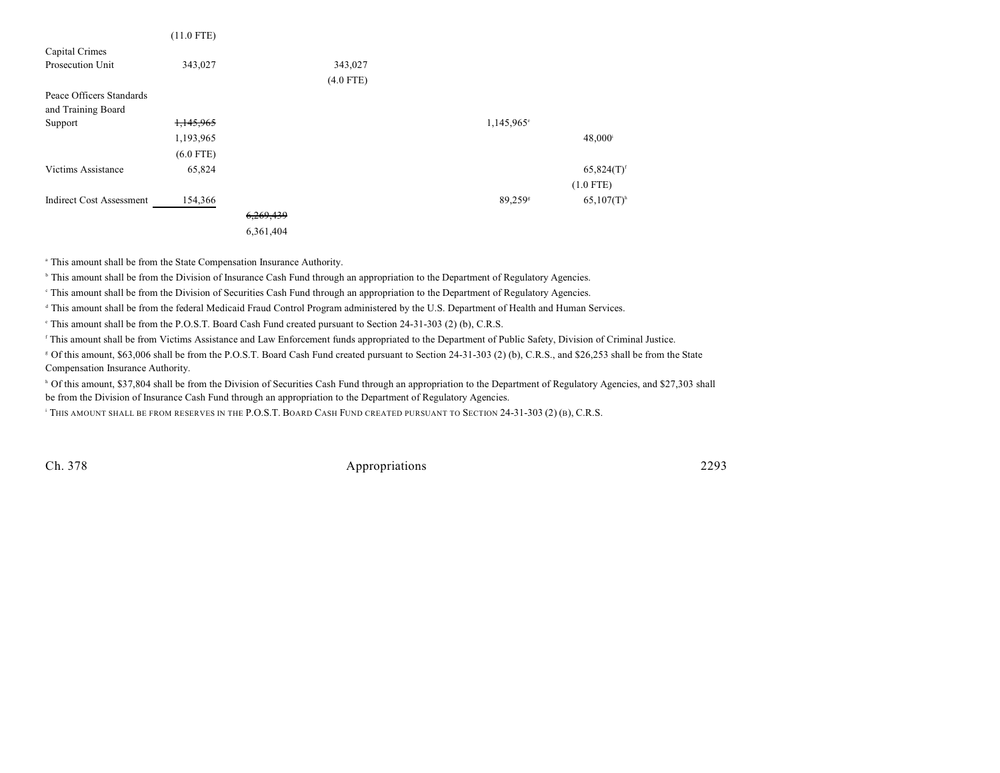|                                 | $(11.0$ FTE) |           |             |                        |                          |
|---------------------------------|--------------|-----------|-------------|------------------------|--------------------------|
| Capital Crimes                  |              |           |             |                        |                          |
| Prosecution Unit                | 343,027      |           | 343,027     |                        |                          |
|                                 |              |           | $(4.0$ FTE) |                        |                          |
| Peace Officers Standards        |              |           |             |                        |                          |
| and Training Board              |              |           |             |                        |                          |
| Support                         | 1,145,965    |           |             | 1,145,965 <sup>e</sup> |                          |
|                                 | 1,193,965    |           |             |                        | $48,000^{\rm i}$         |
|                                 | $(6.0$ FTE)  |           |             |                        |                          |
| Victims Assistance              | 65,824       |           |             |                        | $65,824(T)$ <sup>f</sup> |
|                                 |              |           |             |                        | $(1.0$ FTE)              |
| <b>Indirect Cost Assessment</b> | 154,366      |           |             | 89,259 <sup>s</sup>    | $65,107(T)$ <sup>h</sup> |
|                                 |              | 6,269,439 |             |                        |                          |
|                                 |              | 6,361,404 |             |                        |                          |

<sup>a</sup> This amount shall be from the State Compensation Insurance Authority.

<sup>h</sup> This amount shall be from the Division of Insurance Cash Fund through an appropriation to the Department of Regulatory Agencies.

This amount shall be from the Division of Securities Cash Fund through an appropriation to the Department of Regulatory Agencies.

<sup>d</sup> This amount shall be from the federal Medicaid Fraud Control Program administered by the U.S. Department of Health and Human Services.

This amount shall be from the P.O.S.T. Board Cash Fund created pursuant to Section 24-31-303 (2) (b), C.R.S.

<sup>f</sup> This amount shall be from Victims Assistance and Law Enforcement funds appropriated to the Department of Public Safety, Division of Criminal Justice.

 Of this amount, \$63,006 shall be from the P.O.S.T. Board Cash Fund created pursuant to Section 24-31-303 (2) (b), C.R.S., and \$26,253 shall be from the State <sup>g</sup> Compensation Insurance Authority.

<sup>h</sup> Of this amount, \$37,804 shall be from the Division of Securities Cash Fund through an appropriation to the Department of Regulatory Agencies, and \$27,303 shall be from the Division of Insurance Cash Fund through an appropriation to the Department of Regulatory Agencies.

<sup>1</sup> THIS AMOUNT SHALL BE FROM RESERVES IN THE P.O.S.T. BOARD CASH FUND CREATED PURSUANT TO SECTION 24-31-303 (2) (B), C.R.S.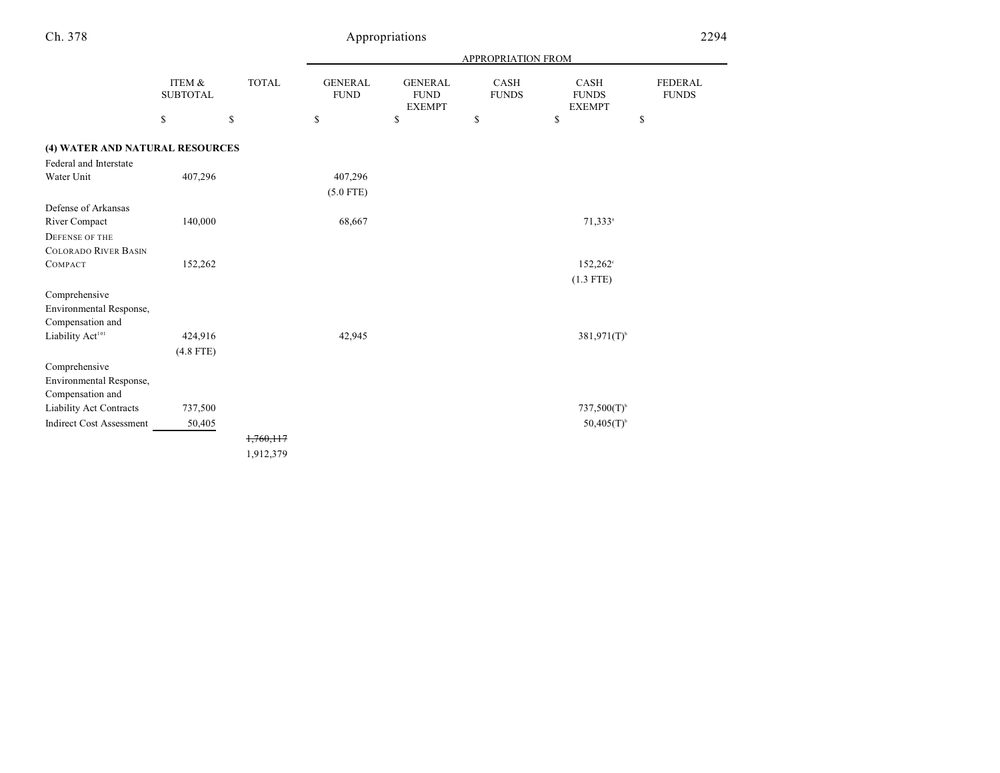|                                 |                           |              | APPROPRIATION FROM            |                                                |                      |                                       |                         |  |  |
|---------------------------------|---------------------------|--------------|-------------------------------|------------------------------------------------|----------------------|---------------------------------------|-------------------------|--|--|
|                                 | ITEM &<br><b>SUBTOTAL</b> | <b>TOTAL</b> | <b>GENERAL</b><br><b>FUND</b> | <b>GENERAL</b><br><b>FUND</b><br><b>EXEMPT</b> | CASH<br><b>FUNDS</b> | CASH<br><b>FUNDS</b><br><b>EXEMPT</b> | FEDERAL<br><b>FUNDS</b> |  |  |
|                                 | \$                        | \$           | \$                            | \$                                             | \$                   | \$                                    | \$                      |  |  |
| (4) WATER AND NATURAL RESOURCES |                           |              |                               |                                                |                      |                                       |                         |  |  |
| Federal and Interstate          |                           |              |                               |                                                |                      |                                       |                         |  |  |
| Water Unit                      | 407,296                   |              | 407,296                       |                                                |                      |                                       |                         |  |  |
|                                 |                           |              | $(5.0$ FTE)                   |                                                |                      |                                       |                         |  |  |
| Defense of Arkansas             |                           |              |                               |                                                |                      |                                       |                         |  |  |
| River Compact                   | 140,000                   |              | 68,667                        |                                                |                      | 71,333 <sup>a</sup>                   |                         |  |  |
| DEFENSE OF THE                  |                           |              |                               |                                                |                      |                                       |                         |  |  |
| <b>COLORADO RIVER BASIN</b>     |                           |              |                               |                                                |                      |                                       |                         |  |  |
| COMPACT                         | 152,262                   |              |                               |                                                |                      | $152,262^{\circ}$                     |                         |  |  |
|                                 |                           |              |                               |                                                |                      | $(1.3$ FTE)                           |                         |  |  |
| Comprehensive                   |                           |              |                               |                                                |                      |                                       |                         |  |  |
| Environmental Response,         |                           |              |                               |                                                |                      |                                       |                         |  |  |
| Compensation and                |                           |              |                               |                                                |                      |                                       |                         |  |  |
| Liability Act <sup>101</sup>    | 424,916                   |              | 42,945                        |                                                |                      | $381,971(T)$ <sup>b</sup>             |                         |  |  |
|                                 | $(4.8$ FTE)               |              |                               |                                                |                      |                                       |                         |  |  |
| Comprehensive                   |                           |              |                               |                                                |                      |                                       |                         |  |  |
| Environmental Response,         |                           |              |                               |                                                |                      |                                       |                         |  |  |
| Compensation and                |                           |              |                               |                                                |                      |                                       |                         |  |  |
| Liability Act Contracts         | 737,500                   |              |                               |                                                |                      | $737,500(T)$ <sup>b</sup>             |                         |  |  |
| <b>Indirect Cost Assessment</b> | 50,405                    |              |                               |                                                |                      | $50,405(T)$ <sup>b</sup>              |                         |  |  |
|                                 |                           | 1,760,117    |                               |                                                |                      |                                       |                         |  |  |
|                                 |                           | 1,912,379    |                               |                                                |                      |                                       |                         |  |  |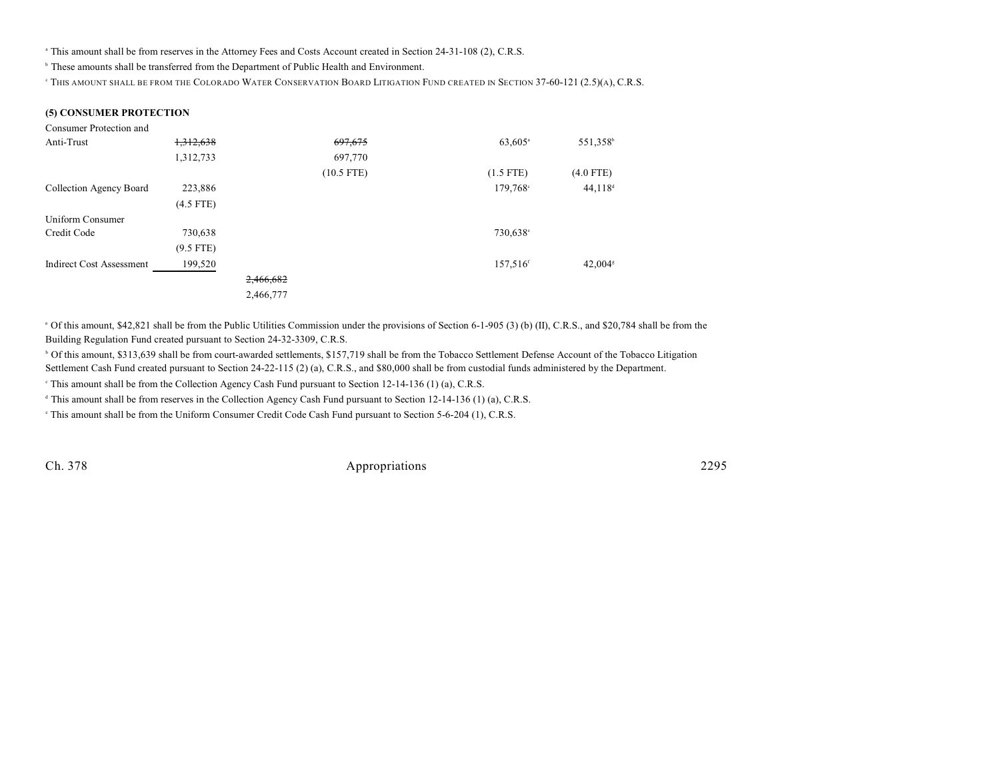<sup>a</sup> This amount shall be from reserves in the Attorney Fees and Costs Account created in Section 24-31-108 (2), C.R.S.

<sup>b</sup> These amounts shall be transferred from the Department of Public Health and Environment.

<sup>e</sup> This amount shall be from the Colorado Water Conservation Board Litigation Fund created in Section 37-60-121 (2.5)(a), C.R.S.

#### **(5) CONSUMER PROTECTION**

| Consumer Protection and         |             |           |              |                       |                       |
|---------------------------------|-------------|-----------|--------------|-----------------------|-----------------------|
| Anti-Trust                      | 1,312,638   |           | 697,675      | $63,605$ <sup>a</sup> | 551,358 <sup>b</sup>  |
|                                 | 1,312,733   |           | 697,770      |                       |                       |
|                                 |             |           | $(10.5$ FTE) | $(1.5$ FTE)           | $(4.0$ FTE)           |
| Collection Agency Board         | 223,886     |           |              | $179,768$ °           | $44,118$ <sup>d</sup> |
|                                 | $(4.5$ FTE) |           |              |                       |                       |
| Uniform Consumer                |             |           |              |                       |                       |
| Credit Code                     | 730,638     |           |              | 730,638°              |                       |
|                                 | $(9.5$ FTE) |           |              |                       |                       |
| <b>Indirect Cost Assessment</b> | 199,520     |           |              | 157,516 <sup>f</sup>  | 42,004 <sup>s</sup>   |
|                                 |             | 2,466,682 |              |                       |                       |
|                                 |             | 2,466,777 |              |                       |                       |

<sup>a</sup> Of this amount, \$42,821 shall be from the Public Utilities Commission under the provisions of Section 6-1-905 (3) (b) (II), C.R.S., and \$20,784 shall be from the Building Regulation Fund created pursuant to Section 24-32-3309, C.R.S.

<sup>b</sup> Of this amount, \$313,639 shall be from court-awarded settlements, \$157,719 shall be from the Tobacco Settlement Defense Account of the Tobacco Litigation Settlement Cash Fund created pursuant to Section 24-22-115 (2) (a), C.R.S., and \$80,000 shall be from custodial funds administered by the Department.

<sup>e</sup> This amount shall be from the Collection Agency Cash Fund pursuant to Section 12-14-136 (1) (a), C.R.S.

<sup>d</sup> This amount shall be from reserves in the Collection Agency Cash Fund pursuant to Section 12-14-136 (1) (a), C.R.S.

<sup>e</sup> This amount shall be from the Uniform Consumer Credit Code Cash Fund pursuant to Section 5-6-204 (1), C.R.S.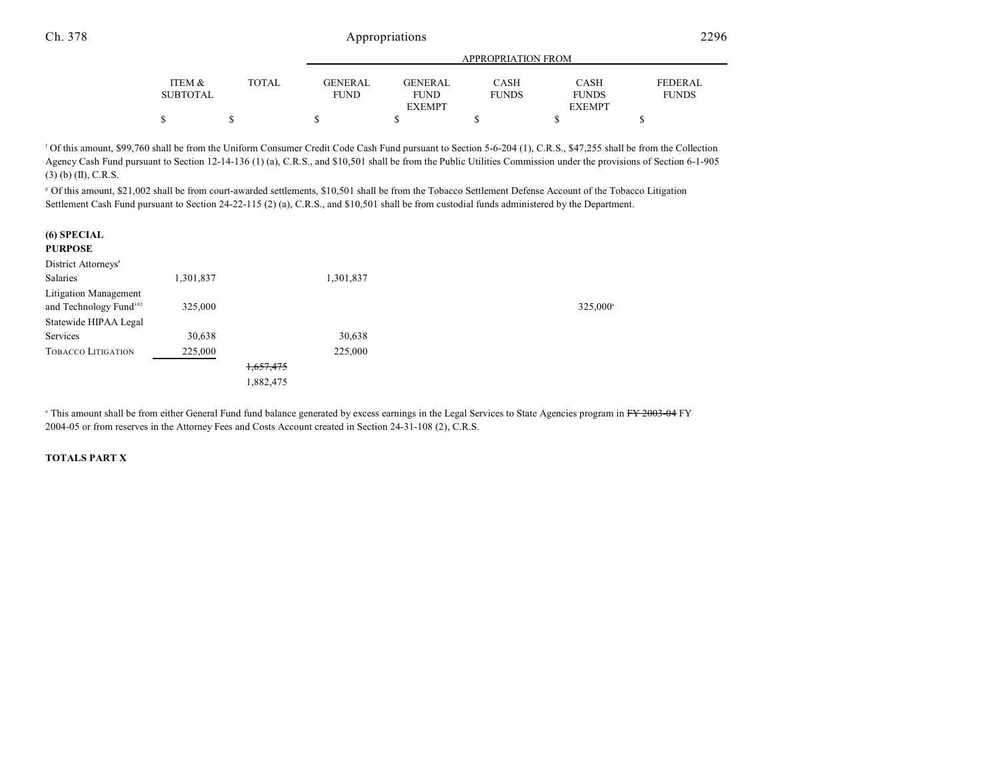|                 |              |             | <b>APPROPRIATION FROM</b> |              |               |                |  |  |  |
|-----------------|--------------|-------------|---------------------------|--------------|---------------|----------------|--|--|--|
| ITEM &          | <b>TOTAL</b> | GENERAL     | <b>GENERAL</b>            | CASH         | <b>CASH</b>   | <b>FEDERAL</b> |  |  |  |
| <b>SUBTOTAL</b> |              | <b>FUND</b> | <b>FUND</b>               | <b>FUNDS</b> | <b>FUNDS</b>  | <b>FUNDS</b>   |  |  |  |
|                 |              |             | <b>EXEMPT</b>             |              | <b>EXEMPT</b> |                |  |  |  |
| \$              |              |             |                           |              |               |                |  |  |  |

<sup>f</sup> Of this amount, \$99,760 shall be from the Uniform Consumer Credit Code Cash Fund pursuant to Section 5-6-204 (1), C.R.S., \$47,255 shall be from the Collection Agency Cash Fund pursuant to Section 12-14-136 (1) (a), C.R.S., and \$10,501 shall be from the Public Utilities Commission under the provisions of Section 6-1-905 (3) (b) (II), C.R.S.

 Of this amount, \$21,002 shall be from court-awarded settlements, \$10,501 shall be from the Tobacco Settlement Defense Account of the Tobacco Litigation <sup>g</sup> Settlement Cash Fund pursuant to Section 24-22-115 (2) (a), C.R.S., and \$10,501 shall be from custodial funds administered by the Department.

| (6) SPECIAL<br><b>PURPOSE</b>      |           |           |           |                   |
|------------------------------------|-----------|-----------|-----------|-------------------|
| District Attorneys'                |           |           |           |                   |
| <b>Salaries</b>                    | 1,301,837 |           | 1,301,837 |                   |
| Litigation Management              |           |           |           |                   |
| and Technology Fund <sup>102</sup> | 325,000   |           |           | $325,000^{\circ}$ |
| Statewide HIPAA Legal              |           |           |           |                   |
| Services                           | 30,638    |           | 30,638    |                   |
| <b>TOBACCO LITIGATION</b>          | 225,000   |           | 225,000   |                   |
|                                    |           | 1,657,475 |           |                   |
|                                    |           | 1,882,475 |           |                   |

<sup>a</sup> This amount shall be from either General Fund fund balance generated by excess earnings in the Legal Services to State Agencies program in FY 2003-04 FY 2004-05 or from reserves in the Attorney Fees and Costs Account created in Section 24-31-108 (2), C.R.S.

#### **TOTALS PART X**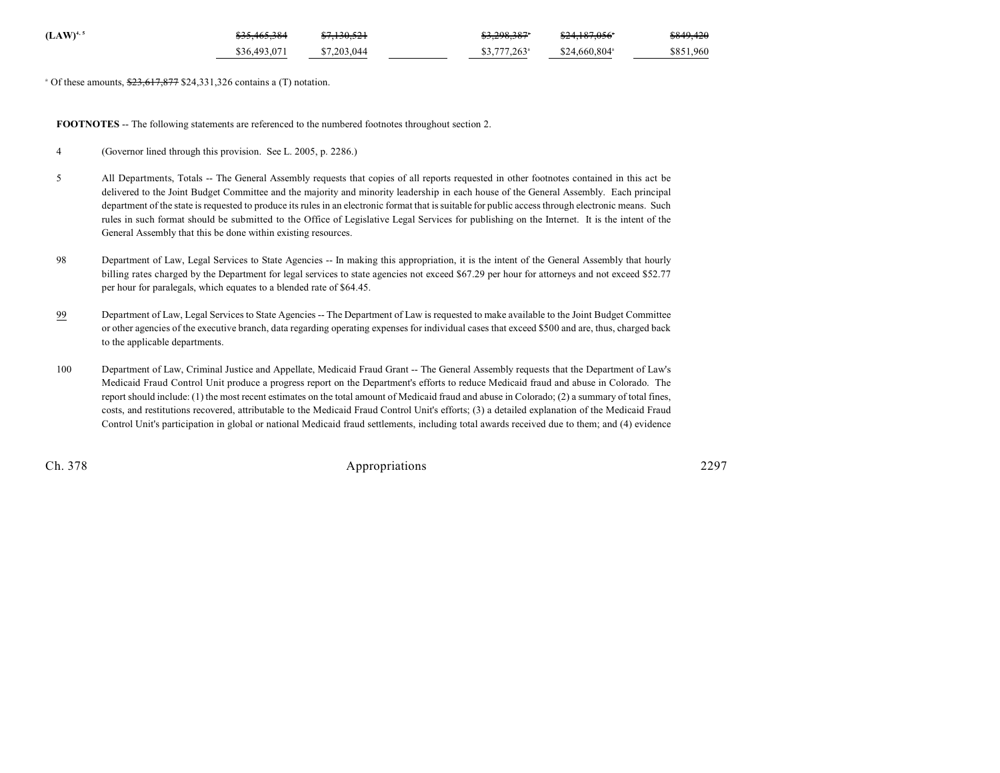| $(LAW)^{4,5}$ | <del>\$35,465,384</del> | <del>\$7,130,521</del> | <del>\$3,298,387</del> *  | <del>\$24,187,056</del> * | \$849,420 |
|---------------|-------------------------|------------------------|---------------------------|---------------------------|-----------|
|               | \$36,493,071            | \$7,203,044            | $$3,777,263$ <sup>a</sup> | $$24.660.804^{\circ}$     | \$851,960 |

 $^{\circ}$  Of these amounts,  $\frac{$23,617,877}{$24,331,326}$  contains a (T) notation.

**FOOTNOTES** -- The following statements are referenced to the numbered footnotes throughout section 2.

- 4 (Governor lined through this provision. See L. 2005, p. 2286.)
- 5 All Departments, Totals -- The General Assembly requests that copies of all reports requested in other footnotes contained in this act be delivered to the Joint Budget Committee and the majority and minority leadership in each house of the General Assembly. Each principal department of the state is requested to produce its rules in an electronic format that is suitable for public access through electronic means. Such rules in such format should be submitted to the Office of Legislative Legal Services for publishing on the Internet. It is the intent of the General Assembly that this be done within existing resources.
- 98 Department of Law, Legal Services to State Agencies -- In making this appropriation, it is the intent of the General Assembly that hourly billing rates charged by the Department for legal services to state agencies not exceed \$67.29 per hour for attorneys and not exceed \$52.77 per hour for paralegals, which equates to a blended rate of \$64.45.
- 99 Department of Law, Legal Services to State Agencies -- The Department of Law is requested to make available to the Joint Budget Committee or other agencies of the executive branch, data regarding operating expenses for individual cases that exceed \$500 and are, thus, charged back to the applicable departments.
- 100 Department of Law, Criminal Justice and Appellate, Medicaid Fraud Grant -- The General Assembly requests that the Department of Law's Medicaid Fraud Control Unit produce a progress report on the Department's efforts to reduce Medicaid fraud and abuse in Colorado. The report should include: (1) the most recent estimates on the total amount of Medicaid fraud and abuse in Colorado; (2) a summary of total fines, costs, and restitutions recovered, attributable to the Medicaid Fraud Control Unit's efforts; (3) a detailed explanation of the Medicaid Fraud Control Unit's participation in global or national Medicaid fraud settlements, including total awards received due to them; and (4) evidence